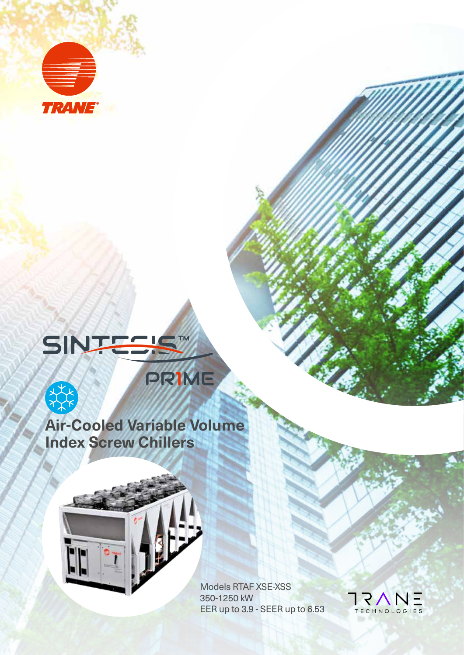

# SINT TM



# **Air-Cooled Variable Volume Index Screw Chillers**

PRIME



Models RTAF XSE-XSS 350-1250 kW EER up to 3.9 - SEER up to 6.53

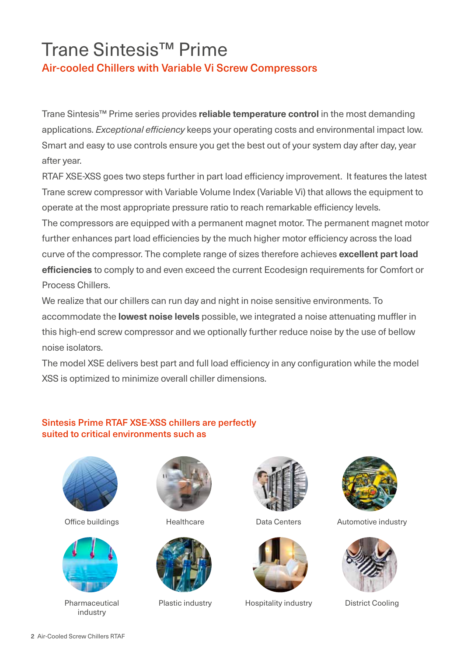# Trane Sintesis™ Prime

Air-cooled Chillers with Variable Vi Screw Compressors

Trane Sintesis™ Prime series provides **reliable temperature control** in the most demanding applications. *Exceptional efficiency* keeps your operating costs and environmental impact low. Smart and easy to use controls ensure you get the best out of your system day after day, year after year.

RTAF XSE-XSS goes two steps further in part load efficiency improvement. It features the latest Trane screw compressor with Variable Volume Index (Variable Vi) that allows the equipment to operate at the most appropriate pressure ratio to reach remarkable efficiency levels.

The compressors are equipped with a permanent magnet motor. The permanent magnet motor further enhances part load efficiencies by the much higher motor efficiency across the load curve of the compressor. The complete range of sizes therefore achieves **excellent part load efficiencies** to comply to and even exceed the current Ecodesign requirements for Comfort or Process Chillers.

We realize that our chillers can run day and night in noise sensitive environments. To accommodate the **lowest noise levels** possible, we integrated a noise attenuating muffler in this high-end screw compressor and we optionally further reduce noise by the use of bellow noise isolators.

The model XSE delivers best part and full load efficiency in any configuration while the model XSS is optimized to minimize overall chiller dimensions.

## Sintesis Prime RTAF XSE-XSS chillers are perfectly suited to critical environments such as





Pharmaceutical industry









Plastic industry **Hospitality industry** District Cooling



Office buildings Thealthcare Theath Data Centers Automotive industry

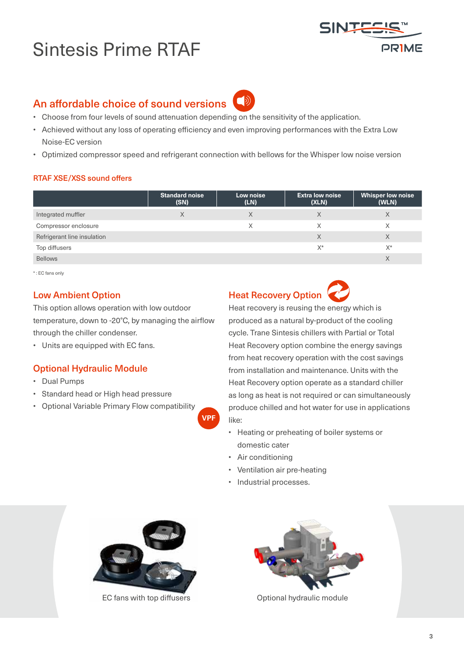# Sintesis Prime RTAF



# An affordable choice of sound versions

- Choose from four levels of sound attenuation depending on the sensitivity of the application.
- Achieved without any loss of operating efficiency and even improving performances with the Extra Low Noise-EC version

 $\bigcirc$ 

• Optimized compressor speed and refrigerant connection with bellows for the Whisper low noise version

## RTAF XSE/XSS sound offers

|                             | <b>Standard noise</b><br>(SN) | Low noise<br>(LN) | <b>Extra low noise</b><br>(XLN) | <b>Whisper low noise</b><br>(WLN) |
|-----------------------------|-------------------------------|-------------------|---------------------------------|-----------------------------------|
| Integrated muffler          | X                             | X                 |                                 | X                                 |
| Compressor enclosure        |                               | Χ                 |                                 | Χ                                 |
| Refrigerant line insulation |                               |                   |                                 | Χ                                 |
| Top diffusers               |                               |                   | $X^*$                           | $X^*$                             |
| <b>Bellows</b>              |                               |                   |                                 | X                                 |

**VPF**

\* : EC fans only

## Low Ambient Option

This option allows operation with low outdoor temperature, down to -20°C, by managing the airflow through the chiller condenser.

• Units are equipped with EC fans.

## Optional Hydraulic Module

- Dual Pumps
- Standard head or High head pressure
- Optional Variable Primary Flow compatibility

Heat Recovery Option



Heat recovery is reusing the energy which is produced as a natural by-product of the cooling cycle. Trane Sintesis chillers with Partial or Total Heat Recovery option combine the energy savings from heat recovery operation with the cost savings from installation and maintenance. Units with the Heat Recovery option operate as a standard chiller as long as heat is not required or can simultaneously produce chilled and hot water for use in applications like:

- Heating or preheating of boiler systems or domestic cater
- Air conditioning
- Ventilation air pre-heating
- Industrial processes.



EC fans with top diffusers **CEC 6 ACC 10 ACC 10 ACC 10 ACC 10 ACC 10 ACC 10 ACC 10 ACC 10 ACC 10 ACC 10 ACC 10 ACC 10 ACC 10 ACC 10 ACC 10 ACC 10 ACC 10 ACC 10 ACC 10 ACC 10 ACC 10 ACC 10 ACC 10 ACC 10 ACC 10 ACC 10 ACC 10** 

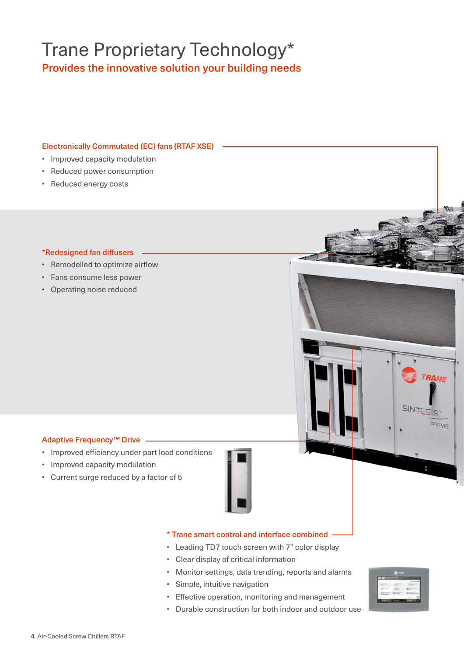# Trane Proprietary Technology\* Provides the innovative solution your building needs

#### Electronically Commutated (EC) fans (RTAF XSE)

- Improved capacity modulation
- Reduced power consumption
- Reduced energy costs

#### \*Redesigned fan diffusers

- Remodelled to optimize airflow
- Fans consume less power
- Operating noise reduced

### Adaptive Frequency™ Drive

- Improved efficiency under part load conditions
- Improved capacity modulation
- Current surge reduced by a factor of 5



## \* Trane smart control and interface combined

- Leading TD7 touch screen with 7" color display
- Clear display of critical information
- Monitor settings, data trending, reports and alarms
- Simple, intuitive navigation
- Effective operation, monitoring and management
- Durable construction for both indoor and outdoor use



**TRANE** 

PRIME

SINTE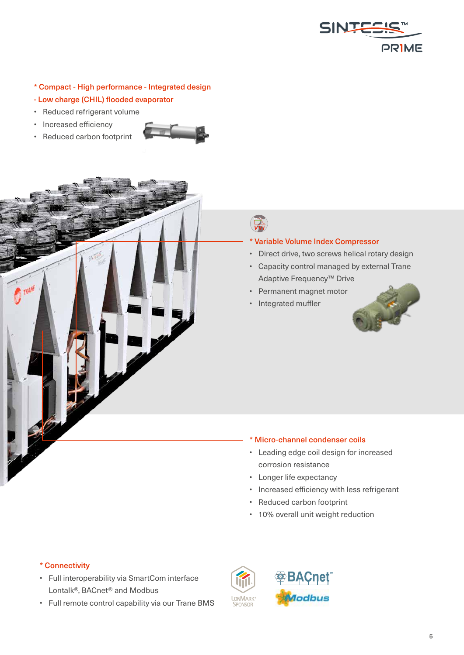

#### \* Compact - High performance - Integrated design

- Low charge (CHIL) flooded evaporator
- Reduced refrigerant volume
- Increased efficiency
- Reduced carbon footprint





# *VVi*

#### \* Variable Volume Index Compressor

- Direct drive, two screws helical rotary design
- Capacity control managed by external Trane Adaptive Frequency™ Drive
- Permanent magnet motor
- Integrated muffler



### \* Micro-channel condenser coils

- Leading edge coil design for increased corrosion resistance
- Longer life expectancy
- Increased efficiency with less refrigerant
- Reduced carbon footprint
- 10% overall unit weight reduction

**BACnet** 

#### \* Connectivity

- Full interoperability via SmartCom interface Lontalk®, BACnet® and Modbus
- Full remote control capability via our Trane BMS



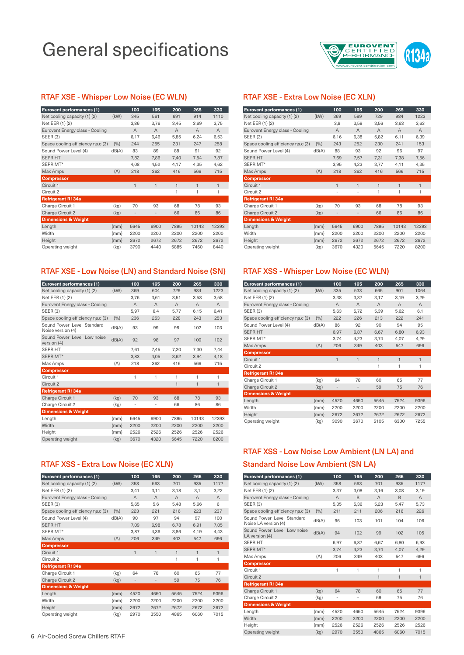# General specifications



#### RTAF XSE - Whisper Low Noise (EC WLN)

| Eurovent performances (1)         |       | 100                      | 165                      | 200            | 265            | 330            |
|-----------------------------------|-------|--------------------------|--------------------------|----------------|----------------|----------------|
| Net cooling capacity (1) (2)      | (kW)  | 345                      | 561                      | 691            | 914            | 1110           |
| Net EER (1) (2)                   |       | 3,86                     | 3,76                     | 3,45           | 3,69           | 3,75           |
| Eurovent Energy class - Cooling   |       | $\overline{A}$           | $\overline{A}$           | $\overline{A}$ | $\overline{A}$ | $\overline{A}$ |
| <b>SEER (3)</b>                   |       | 6,17                     | 6,46                     | 5,85           | 6,24           | 6,53           |
| Space cooling efficiency ns.c (3) | (%)   | 244                      | 255                      | 231            | 247            | 258            |
| Sound Power Level (4)             | dB(A) | 83                       | 89                       | 88             | 91             | 92             |
| <b>SEPR HT</b>                    |       | 7,82                     | 7,86                     | 7,40           | 7,54           | 7,87           |
| SEPR MT*                          |       | 4,08                     | 4,52                     | 4,17           | 4,35           | 4,62           |
| Max Amps                          | (A)   | 218                      | 362                      | 416            | 566            | 715            |
| <b>Compressor</b>                 |       |                          |                          |                |                |                |
| Circuit 1                         |       | $\mathbf{1}$             | $\mathbf{1}$             | $\mathbf{1}$   | $\mathbf{1}$   | $\mathbf{1}$   |
| Circuit 2                         |       |                          |                          | 1              | 1              | 1              |
| <b>Refrigerant R134a</b>          |       |                          |                          |                |                |                |
| Charge Circuit 1                  | (kg)  | 70                       | 93                       | 68             | 78             | 93             |
| Charge Circuit 2                  | (kg)  | $\overline{\phantom{a}}$ | $\overline{\phantom{a}}$ | 66             | 86             | 86             |
| <b>Dimensions &amp; Weight</b>    |       |                          |                          |                |                |                |
| Length                            | (mm)  | 5645                     | 6900                     | 7895           | 10143          | 12393          |
| Width                             | (mm)  | 2200                     | 2200                     | 2200           | 2200           | 2200           |
| Height                            | (mm)  | 2672                     | 2672                     | 2672           | 2672           | 2672           |
| Operating weight                  | (kg)  | 3790                     | 4440                     | 5885           | 7460           | 8440           |

#### RTAF XSE - Low Noise (LN) and Standard Noise (SN)

| Eurovent performances (1)                       |       | 100            | 165            | 200            | 265            | 330            |
|-------------------------------------------------|-------|----------------|----------------|----------------|----------------|----------------|
| Net cooling capacity (1) (2)                    | (kW)  | 369            | 604            | 729            | 984            | 1223           |
| Net EER (1) (2)                                 |       | 3.76           | 3,61           | 3.51           | 3.58           | 3.58           |
| Eurovent Energy class - Cooling                 |       | $\overline{A}$ | $\overline{A}$ | $\overline{A}$ | $\overline{A}$ | $\overline{A}$ |
| <b>SEER (3)</b>                                 |       | 5.97           | 6.4            | 5.77           | 6.15           | 6.41           |
| Space cooling efficiency ns.c (3)               | (%)   | 236            | 253            | 228            | 243            | 253            |
| Sound Power Level Standard<br>Noise version (4) | dB(A) | 93             | 99             | 98             | 102            | 103            |
| Sound Power Level Low noise<br>version (4)      | dB(A) | 92             | 98             | 97             | 100            | 102            |
| <b>SEPR HT</b>                                  |       | 7,61           | 7,45           | 7,20           | 7,30           | 7,44           |
| SEPR MT*                                        |       | 3.83           | 4.05           | 3.62           | 3.94           | 4.18           |
| Max Amps                                        | (A)   | 218            | 362            | 416            | 566            | 715            |
| <b>Compressor</b>                               |       |                |                |                |                |                |
| Circuit 1                                       |       | 1              | 1              | 1              | 1              | 1              |
| Circuit 2                                       |       |                |                | $\mathbf{1}$   | $\mathbf{1}$   | $\mathbf{1}$   |
| <b>Refrigerant R134a</b>                        |       |                |                |                |                |                |
| Charge Circuit 1                                | (kg)  | 70             | 93             | 68             | 78             | 93             |
| Charge Circuit 2                                | (kg)  | -              | ÷              | 66             | 86             | 86             |
| <b>Dimensions &amp; Weight</b>                  |       |                |                |                |                |                |
| Length                                          | (mm)  | 5645           | 6900           | 7895           | 10143          | 12393          |
| Width                                           | (mm)  | 2200           | 2200           | 2200           | 2200           | 2200           |
| Height                                          | (mm)  | 2526           | 2526           | 2526           | 2526           | 2526           |
| Operating weight                                | (kg)  | 3670           | 4320           | 5645           | 7220           | 8200           |
|                                                 |       |                |                |                |                |                |

### RTAF XSS - Extra Low Noise (EC XLN)

| Eurovent performances (1)         |       | 100            | 165            | 200            | 265            | 330            |
|-----------------------------------|-------|----------------|----------------|----------------|----------------|----------------|
| Net cooling capacity (1) (2)      | (kW)  | 358            | 563            | 701            | 935            | 1177           |
| Net EER (1) (2)                   |       | 3,41           | 3,11           | 3,18           | 3,1            | 3,22           |
| Eurovent Energy class - Cooling   |       | $\overline{A}$ | $\overline{A}$ | $\overline{A}$ | $\overline{A}$ | $\overline{A}$ |
| <b>SEER (3)</b>                   |       | 5,65           | 5,6            | 5,48           | 5,66           | 6              |
| Space cooling efficiency ns.c (3) | (%)   | 223            | 221            | 216            | 223            | 237            |
| Sound Power Level (4)             | dB(A) | 90             | 97             | 94             | 97             | 100            |
| <b>SEPR HT</b>                    |       | 7,09           | 6,98           | 6,78           | 6,91           | 7,05           |
| SEPR MT*                          |       | 3,87           | 4,36           | 3,86           | 4,19           | 4.43           |
| Max Amps                          | (A)   | 206            | 349            | 403            | 547            | 696            |
| <b>Compressor</b>                 |       |                |                |                |                |                |
| Circuit 1                         |       | $\mathbf{1}$   | $\mathbf{1}$   | $\mathbf{1}$   | $\mathbf{1}$   | $\mathbf{1}$   |
| Circuit <sub>2</sub>              |       |                |                | 1              | 1              | 1              |
| <b>Refrigerant R134a</b>          |       |                |                |                |                |                |
| Charge Circuit 1                  | (kg)  | 64             | 78             | 60             | 65             | 77             |
| <b>Charge Circuit 2</b>           | (kg)  |                | $\overline{a}$ | 59             | 75             | 76             |
| <b>Dimensions &amp; Weight</b>    |       |                |                |                |                |                |
| Length                            | (mm)  | 4520           | 4650           | 5645           | 7524           | 9396           |
| Width                             | (mm)  | 2200           | 2200           | 2200           | 2200           | 2200           |
| Height                            | (mm)  | 2672           | 2672           | 2672           | 2672           | 2672           |
| Operating weight                  | (kg)  | 2970           | 3550           | 4865           | 6060           | 7015           |

#### 6 Air-Cooled Screw Chillers RTAF

#### RTAF XSE - Extra Low Noise (EC XLN)

| Eurovent performances (1)         |       | 100            | 165                      | 200            | 265            | 330            |
|-----------------------------------|-------|----------------|--------------------------|----------------|----------------|----------------|
| Net cooling capacity (1) (2)      | (kW)  | 369            | 589                      | 729            | 984            | 1223           |
| Net EER (1) (2)                   |       | 3,8            | 3,58                     | 3,56           | 3,63           | 3,63           |
| Eurovent Energy class - Cooling   |       | $\overline{A}$ | $\overline{A}$           | $\overline{A}$ | $\overline{A}$ | $\overline{A}$ |
| <b>SEER (3)</b>                   |       | 6,16           | 6,38                     | 5,82           | 6,11           | 6,39           |
| Space cooling efficiency ns.c (3) | (%)   | 243            | 252                      | 230            | 241            | 153            |
| Sound Power Level (4)             | dB(A) | 88             | 93                       | 92             | 96             | 97             |
| <b>SEPR HT</b>                    |       | 7,69           | 7,57                     | 7,31           | 7,38           | 7,56           |
| SEPR MT*                          |       | 3,95           | 4,23                     | 3,77           | 4,11           | 4,35           |
| Max Amps                          | (A)   | 218            | 362                      | 416            | 566            | 715            |
| <b>Compressor</b>                 |       |                |                          |                |                |                |
| Circuit 1                         |       | $\mathbf{1}$   | $\mathbf{1}$             | $\mathbf{1}$   | $\mathbf{1}$   | $\mathbf{1}$   |
| Circuit 2                         |       | $\overline{a}$ | $\blacksquare$           | 1              | 1              | 1              |
| <b>Refrigerant R134a</b>          |       |                |                          |                |                |                |
| Charge Circuit 1                  | (kg)  | 70             | 93                       | 68             | 78             | 93             |
| <b>Charge Circuit 2</b>           | (kg)  | $\overline{a}$ | $\overline{\phantom{a}}$ | 66             | 86             | 86             |
| <b>Dimensions &amp; Weight</b>    |       |                |                          |                |                |                |
| Length                            | (mm)  | 5645           | 6900                     | 7895           | 10143          | 12393          |
| Width                             | (mm)  | 2200           | 2200                     | 2200           | 2200           | 2200           |
| Height                            | (mm)  | 2672           | 2672                     | 2672           | 2672           | 2672           |
| Operating weight                  | (kg)  | 3670           | 4320                     | 5645           | 7220           | 8200           |

#### RTAF XSS - Whisper Low Noise (EC WLN)

| Eurovent performances (1)         |       | 100            | 165            | 200            | 265            | 330            |
|-----------------------------------|-------|----------------|----------------|----------------|----------------|----------------|
| Net cooling capacity (1) (2)      | (kW)  | 335            | 533            | 665            | 901            | 1064           |
| Net EER (1) (2)                   |       | 3,38           | 3,37           | 3,17           | 3,19           | 3,29           |
| Eurovent Energy class - Cooling   |       | $\overline{A}$ | $\overline{A}$ | $\overline{A}$ | $\overline{A}$ | $\overline{A}$ |
| <b>SEER (3)</b>                   |       | 5.63           | 5,72           | 5,39           | 5,62           | 6,1            |
| Space cooling efficiency ns.c (3) | (%)   | 222            | 226            | 213            | 222            | 241            |
| Sound Power Level (4)             | dB(A) | 86             | 92             | 90             | 94             | 95             |
| <b>SEPR HT</b>                    |       | 6,97           | 6,87           | 6,67           | 6,80           | 6,93           |
| SEPR MT*                          |       | 3,74           | 4,23           | 3,74           | 4,07           | 4,29           |
| Max Amps                          | (A)   | 206            | 349            | 403            | 547            | 696            |
| <b>Compressor</b>                 |       |                |                |                |                |                |
| Circuit 1                         |       | $\mathbf{1}$   | $\mathbf{1}$   | $\mathbf{1}$   | $\mathbf{1}$   | $\mathbf{1}$   |
| Circuit <sub>2</sub>              |       |                |                | 1              | 1              | 1              |
| <b>Refrigerant R134a</b>          |       |                |                |                |                |                |
| Charge Circuit 1                  | (kg)  | 64             | 78             | 60             | 65             | 77             |
| <b>Charge Circuit 2</b>           | (kg)  |                | $\overline{a}$ | 59             | 75             | 76             |
| <b>Dimensions &amp; Weight</b>    |       |                |                |                |                |                |
| Length                            | (mm)  | 4520           | 4650           | 5645           | 7524           | 9396           |
| Width                             | (mm)  | 2200           | 2200           | 2200           | 2200           | 2200           |
| Height                            | (mm)  | 2672           | 2672           | 2672           | 2672           | 2672           |
| Operating weight                  | (kg)  | 3090           | 3670           | 5105           | 6300           | 7255           |

## RTAF XSS - Low Noise Low Ambient (LN LA) and Standard Noise Low Ambient (SN LA)

| Eurovent performances (1)                          |       | 100            | 165            | 200            | 265  | 330            |
|----------------------------------------------------|-------|----------------|----------------|----------------|------|----------------|
| Net cooling capacity (1) (2)                       | (kW)  | 358            | 563            | 701            | 935  | 1177           |
| Net EER (1) (2)                                    |       | 3,37           | 3,08           | 3,16           | 3,08 | 3,19           |
| Eurovent Energy class - Cooling                    |       | $\overline{A}$ | B              | $\overline{A}$ | B    | $\overline{A}$ |
| SEER(3)                                            |       | 5.35           | 5.36           | 5.23           | 5.47 | 5.73           |
| Space cooling efficiency ns.c (3)                  | (%)   | 211            | 211            | 206            | 216  | 226            |
| Sound Power Level Standard<br>Noise LA version (4) | dB(A) | 96             | 103            | 101            | 104  | 106            |
| Sound Power Level Low noise<br>LA version (4)      | dB(A) | 94             | 102            | 99             | 102  | 105            |
| <b>SEPR HT</b>                                     |       | 6.97           | 6,87           | 6.67           | 6.80 | 6,93           |
| SEPR MT*                                           |       | 3,74           | 4.23           | 3,74           | 4,07 | 4,29           |
| Max Amps                                           | (A)   | 206            | 349            | 403            | 547  | 696            |
| <b>Compressor</b>                                  |       |                |                |                |      |                |
| Circuit 1                                          |       | 1              | 1              | 1              | 1    | 1              |
| Circuit <sub>2</sub>                               |       |                |                | $\mathbf{1}$   | 1    | 1              |
| <b>Refrigerant R134a</b>                           |       |                |                |                |      |                |
| Charge Circuit 1                                   | (kg)  | 64             | 78             | 60             | 65   | 77             |
| Charge Circuit 2                                   | (kg)  | $\overline{a}$ | $\overline{a}$ | 59             | 75   | 76             |
| <b>Dimensions &amp; Weight</b>                     |       |                |                |                |      |                |
| Length                                             | (mm)  | 4520           | 4650           | 5645           | 7524 | 9396           |
| Width                                              | (mm)  | 2200           | 2200           | 2200           | 2200 | 2200           |
| Height                                             | (mm)  | 2526           | 2526           | 2526           | 2526 | 2526           |
| Operating weight                                   | (kg)  | 2970           | 3550           | 4865           | 6060 | 7015           |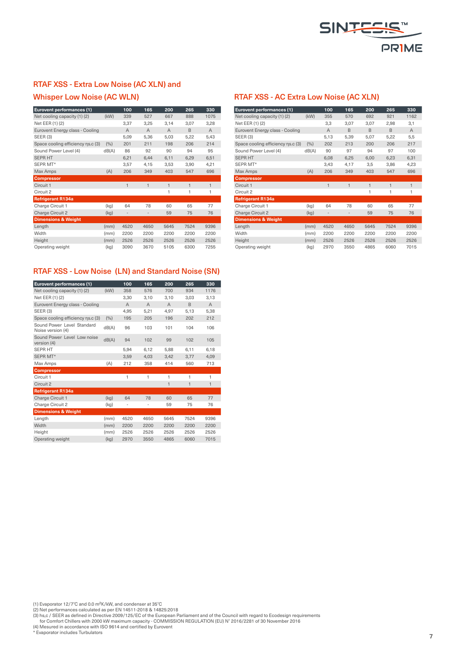

### RTAF XSS - Extra Low Noise (AC XLN) and

#### Whisper Low Noise (AC WLN)

| Eurovent performances (1)         |       | 100            | 165            | 200            | 265            | 330            |
|-----------------------------------|-------|----------------|----------------|----------------|----------------|----------------|
| Net cooling capacity (1) (2)      | (kW)  | 339            | 527            | 667            | 888            | 1075           |
| Net EER (1) (2)                   |       | 3,37           | 3,25           | 3,14           | 3,07           | 3,28           |
| Eurovent Energy class - Cooling   |       | $\overline{A}$ | $\overline{A}$ | $\overline{A}$ | B              | $\overline{A}$ |
| <b>SEER (3)</b>                   |       | 5,09           | 5,36           | 5,03           | 5,22           | 5,43           |
| Space cooling efficiency ns.c (3) | (%)   | 201            | 211            | 198            | 206            | 214            |
| Sound Power Level (4)             | dB(A) | 86             | 92             | 90             | 94             | 95             |
| <b>SEPR HT</b>                    |       | 6,21           | 6,44           | 6,11           | 6,29           | 6,51           |
| SEPR MT*                          |       | 3,57           | 4,15           | 3,53           | 3,90           | 4,21           |
| Max Amps                          | (A)   | 206            | 349            | 403            | 547            | 696            |
| <b>Compressor</b>                 |       |                |                |                |                |                |
| Circuit 1                         |       | $\mathbf{1}$   | $\mathbf{1}$   | $\mathbf{1}$   | $\overline{1}$ | $\mathbf{1}$   |
| Circuit 2                         |       |                |                | 1              | 1              | 1              |
| <b>Refrigerant R134a</b>          |       |                |                |                |                |                |
| Charge Circuit 1                  | (kg)  | 64             | 78             | 60             | 65             | 77             |
| Charge Circuit 2                  | (kg)  |                | $\overline{a}$ | 59             | 75             | 76             |
| <b>Dimensions &amp; Weight</b>    |       |                |                |                |                |                |
| Length                            | (mm)  | 4520           | 4650           | 5645           | 7524           | 9396           |
| Width                             | (mm)  | 2200           | 2200           | 2200           | 2200           | 2200           |
| Height                            | (mm)  | 2526           | 2526           | 2526           | 2526           | 2526           |
| Operating weight                  | (kg)  | 3090           | 3670           | 5105           | 6300           | 7255           |

### RTAF XSS - Low Noise (LN) and Standard Noise (SN)

| Eurovent performances (1)                       |       | 100            | 165            | 200            | 265  | 330            |
|-------------------------------------------------|-------|----------------|----------------|----------------|------|----------------|
| Net cooling capacity (1) (2)                    | (kW)  | 358            | 576            | 700            | 934  | 1176           |
| Net EER (1) (2)                                 |       | 3,30           | 3,10           | 3,10           | 3,03 | 3,13           |
| Eurovent Energy class - Cooling                 |       | $\overline{A}$ | $\overline{A}$ | $\overline{A}$ | B    | $\overline{A}$ |
| <b>SEER (3)</b>                                 |       | 4.95           | 5.21           | 4.97           | 5.13 | 5.38           |
| Space cooling efficiency ns.c (3)               | (9/0) | 195            | 205            | 196            | 202  | 212            |
| Sound Power Level Standard<br>Noise version (4) | dB(A) | 96             | 103            | 101            | 104  | 106            |
| Sound Power Level Low noise<br>version (4)      | dB(A) | 94             | 102            | 99             | 102  | 105            |
| <b>SEPR HT</b>                                  |       | 5.94           | 6.12           | 5.88           | 6.11 | 6,18           |
| SEPR MT*                                        |       | 3.59           | 4.03           | 3.42           | 3.77 | 4.09           |
| Max Amps                                        | (A)   | 212            | 358            | 414            | 560  | 713            |
| <b>Compressor</b>                               |       |                |                |                |      |                |
| Circuit 1                                       |       | 1              | $\mathbf{1}$   | 1              | 1    | 1              |
| Circuit <sub>2</sub>                            |       |                |                | $\mathbf{1}$   | 1    | $\mathbf{1}$   |
| <b>Refrigerant R134a</b>                        |       |                |                |                |      |                |
| Charge Circuit 1                                | (kg)  | 64             | 78             | 60             | 65   | 77             |
| Charge Circuit 2                                | (kg)  | ÷              | $\overline{a}$ | 59             | 75   | 76             |
| <b>Dimensions &amp; Weight</b>                  |       |                |                |                |      |                |
| Lenath                                          | (mm)  | 4520           | 4650           | 5645           | 7524 | 9396           |
| Width                                           | (mm)  | 2200           | 2200           | 2200           | 2200 | 2200           |
| Height                                          | (mm)  | 2526           | 2526           | 2526           | 2526 | 2526           |
| Operating weight                                | (kg)  | 2970           | 3550           | 4865           | 6060 | 7015           |
|                                                 |       |                |                |                |      |                |

#### RTAF XSS - AC Extra Low Noise (AC XLN)

| Eurovent performances (1)         |       | 100            | 165          | 200          | 265          | 330            |
|-----------------------------------|-------|----------------|--------------|--------------|--------------|----------------|
| Net cooling capacity (1) (2)      | (kW)  | 355            | 570          | 692          | 921          | 1162           |
| Net EER (1) (2)                   |       | 3,3            | 3,07         | 3,07         | 2,98         | 3,1            |
| Eurovent Energy class - Cooling   |       | $\overline{A}$ | B            | B            | B            | $\overline{A}$ |
| <b>SEER (3)</b>                   |       | 5,13           | 5,39         | 5,07         | 5,22         | 5,5            |
| Space cooling efficiency ns.c (3) | (%)   | 202            | 213          | 200          | 206          | 217            |
| Sound Power Level (4)             | dB(A) | 90             | 97           | 94           | 97           | 100            |
| <b>SEPR HT</b>                    |       | 6,08           | 6,25         | 6,00         | 6,23         | 6,31           |
| SEPR MT*                          |       | 3,43           | 4,17         | 3,5          | 3,86         | 4,23           |
| Max Amps                          | (A)   | 206            | 349          | 403          | 547          | 696            |
| <b>Compressor</b>                 |       |                |              |              |              |                |
| Circuit 1                         |       | $\mathbf{1}$   | $\mathbf{1}$ | $\mathbf{1}$ | $\mathbf{1}$ | $\mathbf{1}$   |
| Circuit <sub>2</sub>              |       |                |              | 1            | 1            | 1              |
| <b>Refrigerant R134a</b>          |       |                |              |              |              |                |
| Charge Circuit 1                  | (kg)  | 64             | 78           | 60           | 65           | 77             |
| Charge Circuit 2                  | (kg)  |                |              | 59           | 75           | 76             |
| <b>Dimensions &amp; Weight</b>    |       |                |              |              |              |                |
| Length                            | (mm)  | 4520           | 4650         | 5645         | 7524         | 9396           |
| Width                             | (mm)  | 2200           | 2200         | 2200         | 2200         | 2200           |
| Height                            | (mm)  | 2526           | 2526         | 2526         | 2526         | 2526           |
| Operating weight                  | (kg)  | 2970           | 3550         | 4865         | 6060         | 7015           |

(1) Evaporator 12/7°C and 0.0 m<sup>2</sup>K/kW, and condenser at 35°C<br>(2) Net performances calculated as per EN 14511-2018 & 14825:2018<br>(3) hs,c / SEER as defined in Directive 2009/125/EC of the European Parliament and of the Coun

\* Evaporator includes Turbulators